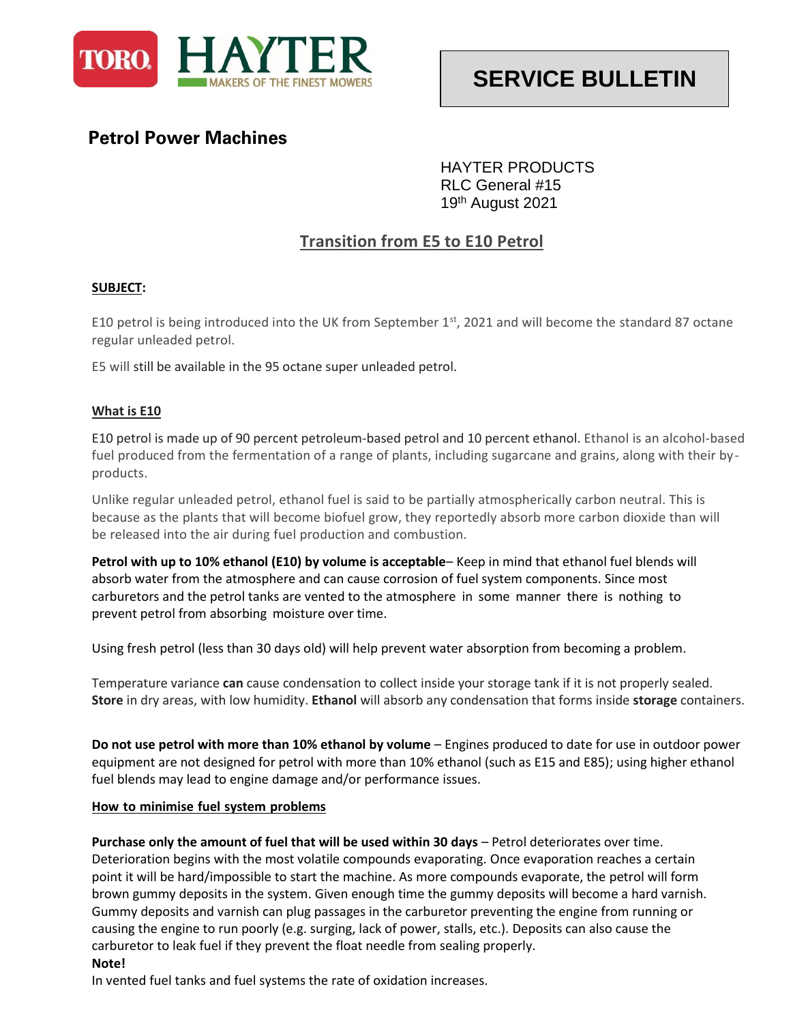

# **SERVICE BULLETIN**

# **Petrol Power Machines**

 HAYTER PRODUCTS RLC General #15 19<sup>th</sup> August 2021

# **Transition from E5 to E10 Petrol**

# **SUBJECT:**

E10 petrol is being introduced into the UK from September 1<sup>st</sup>, 2021 and will become the standard 87 octane regular unleaded petrol.

E5 will still be available in the 95 octane super unleaded petrol.

# **What is E10**

E10 petrol is made up of 90 percent petroleum-based petrol and 10 percent ethanol. Ethanol is an alcohol-based fuel produced from the fermentation of a range of plants, including sugarcane and grains, along with their byproducts.

Unlike regular unleaded petrol, ethanol fuel is said to be partially atmospherically carbon neutral. This is because as the plants that will become biofuel grow, they reportedly absorb more carbon dioxide than will be released into the air during fuel production and combustion.

**Petrol with up to 10% ethanol (E10) by volume is acceptable**– Keep in mind that ethanol fuel blends will absorb water from the atmosphere and can cause corrosion of fuel system components. Since most carburetors and the petrol tanks are vented to the atmosphere in some manner there is nothing to prevent petrol from absorbing moisture over time.

Using fresh petrol (less than 30 days old) will help prevent water absorption from becoming a problem.

Temperature variance **can** cause condensation to collect inside your storage tank if it is not properly sealed. **Store** in dry areas, with low humidity. **Ethanol** will absorb any condensation that forms inside **storage** containers.

**Do not use petrol with more than 10% ethanol by volume** – Engines produced to date for use in outdoor power equipment are not designed for petrol with more than 10% ethanol (such as E15 and E85); using higher ethanol fuel blends may lead to engine damage and/or performance issues.

# **How to minimise fuel system problems**

**Purchase only the amount of fuel that will be used within 30 days – Petrol deteriorates over time.** Deterioration begins with the most volatile compounds evaporating. Once evaporation reaches a certain point it will be hard/impossible to start the machine. As more compounds evaporate, the petrol will form brown gummy deposits in the system. Given enough time the gummy deposits will become a hard varnish. Gummy deposits and varnish can plug passages in the carburetor preventing the engine from running or causing the engine to run poorly (e.g. surging, lack of power, stalls, etc.). Deposits can also cause the carburetor to leak fuel if they prevent the float needle from sealing properly.

# **Note!**

In vented fuel tanks and fuel systems the rate of oxidation increases.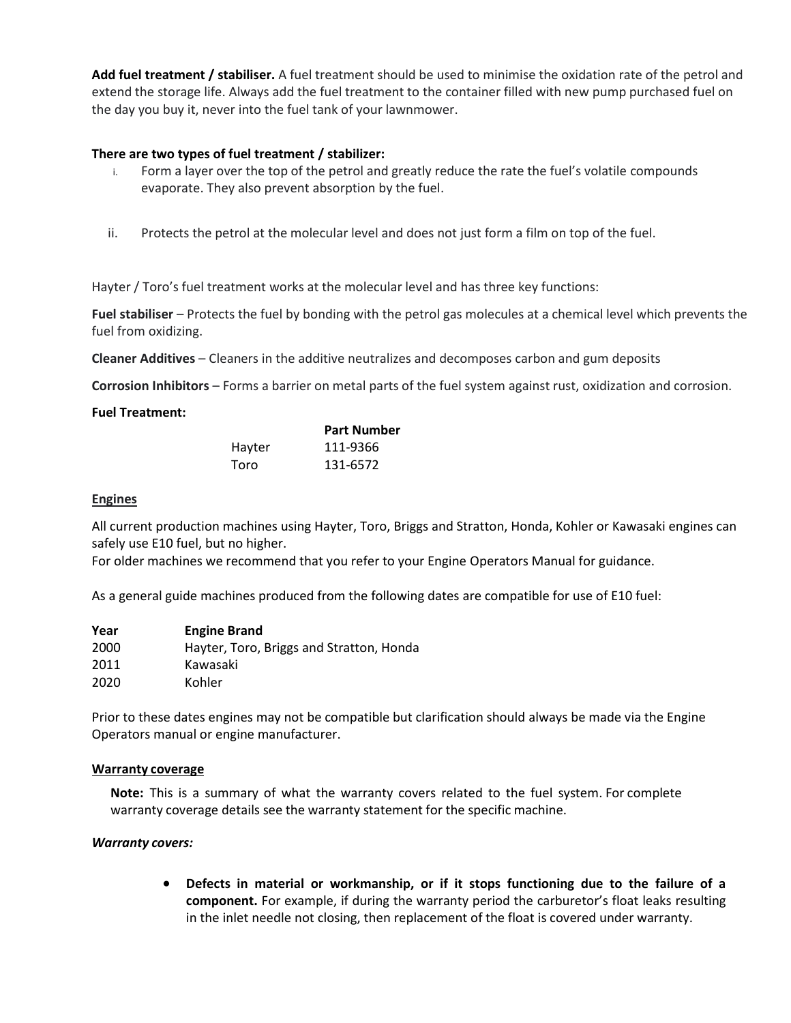**Add fuel treatment / stabiliser.** A fuel treatment should be used to minimise the oxidation rate of the petrol and extend the storage life. Always add the fuel treatment to the container filled with new pump purchased fuel on the day you buy it, never into the fuel tank of your lawnmower.

# **There are two types of fuel treatment / stabilizer:**

- i. Form a layer over the top of the petrol and greatly reduce the rate the fuel's volatile compounds evaporate. They also prevent absorption by the fuel.
- ii. Protects the petrol at the molecular level and does not just form a film on top of the fuel.

Hayter / Toro's fuel treatment works at the molecular level and has three key functions:

**Fuel stabiliser** – Protects the fuel by bonding with the petrol gas molecules at a chemical level which prevents the fuel from oxidizing.

**Cleaner Additives** – Cleaners in the additive neutralizes and decomposes carbon and gum deposits

**Corrosion Inhibitors** – Forms a barrier on metal parts of the fuel system against rust, oxidization and corrosion.

#### **Fuel Treatment:**

|        | <b>Part Number</b> |
|--------|--------------------|
| Hayter | 111-9366           |
| Toro   | 131-6572           |

#### **Engines**

All current production machines using Hayter, Toro, Briggs and Stratton, Honda, Kohler or Kawasaki engines can safely use E10 fuel, but no higher.

For older machines we recommend that you refer to your Engine Operators Manual for guidance.

As a general guide machines produced from the following dates are compatible for use of E10 fuel:

| Year | <b>Engine Brand</b>                      |
|------|------------------------------------------|
| 2000 | Hayter, Toro, Briggs and Stratton, Honda |
| 2011 | Kawasaki                                 |
| 2020 | Kohler                                   |

Prior to these dates engines may not be compatible but clarification should always be made via the Engine Operators manual or engine manufacturer.

#### **Warranty coverage**

**Note:** This is a summary of what the warranty covers related to the fuel system. For complete warranty coverage details see the warranty statement for the specific machine.

#### *Warranty covers:*

• **Defects in material or workmanship, or if it stops functioning due to the failure of a component.** For example, if during the warranty period the carburetor's float leaks resulting in the inlet needle not closing, then replacement of the float is covered under warranty.